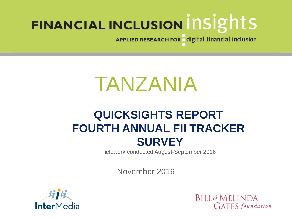APPLIED RESEARCH FOR digital financial inclusion

# TANZANIA

# **QUICKSIGHTS REPORT FOURTH ANNUAL FII TRACKER SURVEY**

Fieldwork conducted August-September 2016

November 2016



**BILL&MELINDA GATES** foundation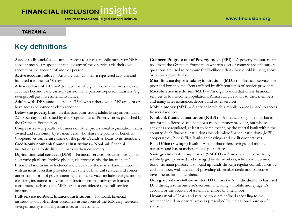#### **TANZANIA**

### **Key definitions**

**Access to financial accounts** – Access to a bank, mobile money or NBFI account means a respondent can use any of these services via their own account or the account of another person.

**Active account holder** – An individual who has a registered account and has used it in the last 90 days.

**Advanced use of DFS** – Advanced use of digital financial services includes activities beyond basic cash-in/cash-out and person-to-person transfers (e.g., savings, bill pay, investment, insurance).

**Adults with DFS access** – Adults (15+) who either own a DFS account or have access to someone else's account.

**Below the poverty line** – In this particular study, adults living on less than \$2.50 per day, as classified by the Progress out of Poverty Index published by the Grameen Foundation.

**Cooperative** – Typically, a business or other professional organization that is owned and run jointly by its members, who share the profits or benefits. Cooperatives can release some of the profits/funds as loans to its members.

**Credit-only nonbank financial institutions** – Nonbank financial institutions that only disburse loans to their customers.

**Digital financial services (DFS)** – Financial services provided through an electronic platform (mobile phones, electronic cards, the internet, etc.).

**Financial inclusion** – Included individuals are those who have an account with an institution that provides a full suite of financial services and comes under some form of government regulation. Services include savings, money transfers, insurance or investment. Institutions that only offer loans to consumers, such as some MFIs, are not considered to be full-service institutions.

**Full-service nonbank financial institutions** – Nonbank financial institutions that offer their customers at least one of the following services: savings, money transfers, insurance, or investment.

**Grameen Progress out of Poverty Index (PPI)** – A poverty measurement tool from the Grameen Foundation wherein a set of country-specific survey questions are used to compute the likelihood that a household is living above or below a poverty line.

**Microfinance deposit-taking institutions (MDIs)** – Financial services for poor and low-income clients offered by different types of service providers. **Microfinance institution (MFI)** – An organization that offers financial services to low income populations. Almost all give loans to their members, and many offer insurance, deposit and other services.

**Mobile money (MM)** – A service in which a mobile phone is used to access financial services.

**Nonbank financial institution (NBFI)** – A financial organization that is not formally licensed as a bank or a mobile money provider, but whose activities are regulated, at least to some extent, by the central bank within the country. Such financial institutions include microfinance institutions (MFI), cooperatives, Post Office Banks and savings and credit cooperatives.

**Post Office (Savings) Bank** – A bank that offers savings and money transfers and has branches at local post offices.

**Savings and credit cooperative (SACCO)** – A unique member-driven, self-help group owned and managed by its members, who have a common bond. Its main purpose is to build up funds through regular contributions by each member, with the aim of providing affordable credit and collective investments for its members.

**Unregistered/over-the-counter (OTC) user** – An individual who has used DFS through someone else's account, including a mobile money agent's account or the account of a family member or a neighbor.

**Urban/rural** – Urban and rural persons are defined according to their residence in urban or rural areas as prescribed by the national bureau of statistics.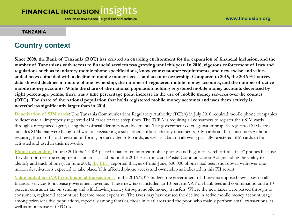#### **TANZANIA**

#### **Country context**

**Since 2008, the Bank of Tanzania (BOT) has created an enabling environment for the expansion of financial inclusion, and the number of Tanzanians with access to financial services was growing until this year. In 2016, vigorous enforcement of laws and regulations such as mandatory mobile phone specifications, know your customer requirements, and new excise and valueadded taxes coincided with a decline in mobile money access and account ownership. Compared to 2015, the 2016 FII survey data showed declines in mobile phone ownership, the number of registered mobile money accounts, and the number of active mobile money accounts. While the share of the national population holding registered mobile money accounts decreased by eight percentage points, there was a nine percentage point increase in the use of mobile money services over the counter (OTC). The share of the national population that holds registered mobile money accounts and uses them actively is nevertheless significantly larger than in 2014.** 

**[Deactivation of SIM cards:](http://allafrica.com/stories/201607060079.html)** The Tanzania Communications Regulatory Authority (TCRA) in July 2016 required mobile phone companies to deactivate all improperly registered SIM cards or face steep fines. The TCRA is requiring all consumers to register their SIM cards through a recognized agent, using their official identification documents. The government edict against improperly registered SIM cards includes SIMs that were being sold without registering a subscribers' official identity documents, SIM cards sold to consumers without requiring them to fill out registration forms, pre-activated SIM cards, as well as a ban on allowing partially registered SIM cards to be activated and used in their networks.

**[Phone ownership:](http://www.bbc.com/news/world-africa-36558056)** In June 2016 the TCRA placed a ban on counterfeit mobile phones and began to switch off all "fake" phones because they did not meet the equipment standards as laid out in the 2014 Electronic and Postal Communication Act (including the ability to identify and track phones). In June 2016, [the BBC](http://www.bbc.com/news/world-africa-36558056) reported that, as of mid-June, 630,000 phones had been shut down, with over one million deactivations expected to take place. This affected phone access and ownership as indicated in this FII report.

**[Value-added tax \(VAT\) on financial transactions:](http://www.techweez.com/2016/06/13/tax-on-mobile-money-tanzania/)** In the 2016/2017 budget, the government of Tanzania imposed new taxes on all financial services to increase government revenue. These new taxes included an 18-percent VAT on bank fees and commissions, and a 10 percent consumer tax on sending and withdrawing money through mobile money transfers. Where the new taxes were passed through to consumers, registered account use became more expensive. The taxes may have caused the decline in active mobile money account usage among price-sensitive populations, especially among females, those in rural areas and the poor, who mainly perform small transactions, as well as an increase in OTC use.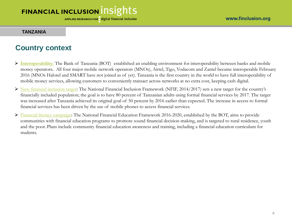#### **TANZANIA**

#### **Country context**

- **[Interoperability:](http://www.gsma.com/mobilefordevelopment/wp-content/uploads/2016/10/2016_GSMA_The-impact-of-mobile-money-interoperability-in-Tanzania.pdf)** The Bank of Tanzania (BOT) established an enabling environment for interoperability between banks and mobile money operators**.** All four major mobile network operators (MNOs), Airtel, Tigo, Vodacom and Zantel became interoperable February 2016 (MNOs Halotel and SMART have not joined as of yet). Tanzania is the first country in the world to have full interoperability of mobile money services, allowing customers to conveniently transact across networks at no extra cost, keeping cash digital.
- $\triangleright$  [New financial inclusion target](http://allafrica.com/stories/201602120505.html): The National Financial Inclusion Framework (NFIF, 2014/2017) sets a new target for the country's financially included population; the goal is to have 80 percent of Tanzanian adults using formal financial services by 2017. The target was increased after Tanzania achieved its original goal of 50 percent by 2016 earlier than expected. The increase in access to formal financial services has been driven by the use of mobile phones to access financial services.
- [Financial literacy campaign:](https://studylib.net/doc/8713070/national-financial-education-framework-2016) The National Financial Education Framework 2016-2020, established by the BOT, aims to provide communities with financial education programs to promote sound financial decision-making, and is targeted to rural residence, youth and the poor. Plans include community financial education awareness and training, including a financial education curriculum for students.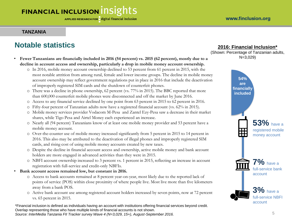#### **TANZANIA**

### **Notable statistics**

- **Fewer Tanzanians are financially included in 2016 (54 percent) vs. 2015 (62 percent), mostly due to a decline in account access and ownership, particularly a drop in mobile money account ownership.** 
	- o In 2016, mobile money account ownership declined to 53 percent from 61 percent in 2015, with the most notable attrition from among rural, female and lower income groups. The decline in mobile money account ownership may reflect government regulations put in place in 2016 that include the deactivation of improperly registered SIM cards and the shutdown of counterfeit phones.
	- o There was a decline in phone ownership, 62 percent (vs. 77% in 2015). The BBC reported that more than 600,000 counterfeit mobile phones were disconnected and off the market by June 2016.
	- o Access to any financial service declined by one point from 63 percent in 2015 to 62 percent in 2016.
	- o Fifty-four percent of Tanzanian adults now have a registered financial account (vs. 62% in 2015).
	- o Mobile money services provider Vodacom M-Pesa and Zantel Ezy-Pesa saw a decrease in their market shares, while Tigo Pesa and Airtel Money each experienced an increase.
	- o Nearly all (94 percent) Tanzanians know of at least one mobile money provider and 53 percent have a mobile money account.
	- o Over-the-counter use of mobile money increased significantly from 5 percent in 2015 to 14 percent in 2016. This also may be attributed to the deactivation of illegal phones and improperly registered SIM cards, and rising cost of using mobile money accounts created by new taxes.
	- o Despite the decline in financial account access and ownership, active mobile money and bank account holders are more engaged in advanced activities than they were in 2015.
	- o NBFI account ownership increased to 3 percent vs. 1 percent in 2015, reflecting an increase in account registration with full-service and credit-only NBFIs.
- **Bank account access remained low, but constant in 2016.**
	- o Access to bank accounts remained at 8 percent year-on-year, most likely due to the reported lack of points of service (POS) within close proximity of where people live. Most live more than five kilometers away from a bank POS.
	- o Active bank account use among registered account holders increased by seven points, now at 72 percent vs. 65 percent in 2015.

\*Financial inclusion is defined as individuals having an account with institutions offering financial services beyond credit. Overlap representing those who have multiple kinds of financial accounts is not shown. *Source: InterMedia Tanzania FII Tracker survey Wave 4 (N=3,029, 15+), August-September 2016.* 5

#### **2016: Financial Inclusion\***

(Shown: Percentage of Tanzanian adults, N=3,029)

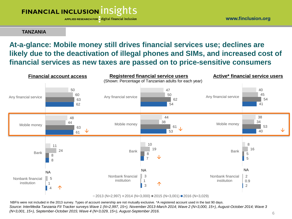APPLIED RESEARCH FOR digital financial inclusion

www.finclusion.org

#### **TANZANIA**

### **At-a-glance: Mobile money still drives financial services use; declines are likely due to the deactivation of illegal phones and SIMs, and increased cost of financial services as new taxes are passed on to price-sensitive consumers**



NBFIs were not included in the 2013 survey. Types of account ownership are not mutually exclusive. \*A registered account used in the last 90 days. *Source: InterMedia Tanzania FII Tracker surveys Wave 1 (N=2,997, 15+), November 2013-March 2014; Wave 2 (N=3,000, 15+), August-October 2014; Wave 3 (N=3,001, 15+), September-October 2015; Wave 4 (N=3,029, 15+), August-September 2016.*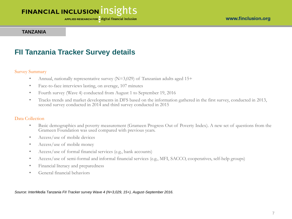APPLIED RESEARCH FOR digital financial inclusion

#### **TANZANIA**

#### **FII Tanzania Tracker Survey details**

#### Survey Summary

- Annual, nationally representative survey  $(N=3,029)$  of Tanzanian adults aged 15+
- Face-to-face interviews lasting, on average, 107 minutes
- Fourth survey (Wave 4) conducted from August 1 to September 19, 2016
- Tracks trends and market developments in DFS based on the information gathered in the first survey, conducted in 2013, second survey conducted in 2014 and third survey conducted in 2015

#### Data Collection

- Basic demographics and poverty measurement (Grameen Progress Out of Poverty Index). A new set of questions from the Grameen Foundation was used compared with previous years.
- Access/use of mobile devices
- Access/use of mobile money
- Access/use of formal financial services (e.g., bank accounts)
- Access/use of semi-formal and informal financial services (e.g., MFI, SACCO, cooperatives, self-help groups)
- Financial literacy and preparedness
- General financial behaviors

*Source: InterMedia Tanzania FII Tracker survey Wave 4 (N=3,029, 15+), August-September 2016.*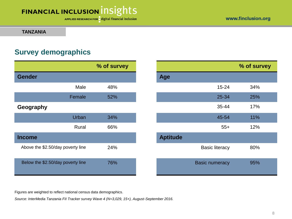APPLIED RESEARCH FOR digital financial inclusion

**TANZANIA**

### **Survey demographics**

|                                   | % of survey |                       |
|-----------------------------------|-------------|-----------------------|
| <b>Gender</b>                     |             | <b>Age</b>            |
| Male                              | 48%         | $15 - 24$             |
| Female                            | 52%         | 25-34                 |
| Geography                         |             | 35-44                 |
| Urban                             | 34%         | 45-54                 |
| Rural                             | 66%         | $55+$                 |
| <b>Income</b>                     |             | <b>Aptitude</b>       |
| Above the \$2.50/day poverty line | 24%         | <b>Basic literacy</b> |
| Below the \$2.50/day poverty line | 76%         | <b>Basic numeracy</b> |

|           | % of survey | % of survey     |                       |     |
|-----------|-------------|-----------------|-----------------------|-----|
|           |             | Age             |                       |     |
| Male      | 48%         |                 | $15 - 24$             | 34% |
| Female    | 52%         |                 | 25-34                 | 25% |
|           |             |                 | 35-44                 | 17% |
| Urban     | 34%         |                 | 45-54                 | 11% |
| Rural     | 66%         |                 | $55+$                 | 12% |
|           |             | <b>Aptitude</b> |                       |     |
| erty line | 24%         |                 | <b>Basic literacy</b> | 80% |
| erty line | 76%         |                 | <b>Basic numeracy</b> | 95% |

Figures are weighted to reflect national census data demographics.

*Source: InterMedia Tanzania FII Tracker survey Wave 4 (N=3,029, 15+), August-September 2016.*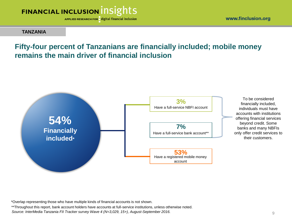

**TANZANIA**

#### **Fifty-four percent of Tanzanians are financially included; mobile money remains the main driver of financial inclusion**



To be considered financially included, individuals must have accounts with institutions offering financial services beyond credit. Some banks and many NBFIs only offer credit services to their customers.

\*Overlap representing those who have multiple kinds of financial accounts is not shown.

\*\*Throughout this report, bank account holders have accounts at full-service institutions, unless otherwise noted.

*Source: InterMedia Tanzania FII Tracker survey Wave 4 (N=3,029, 15+), August-September 2016.*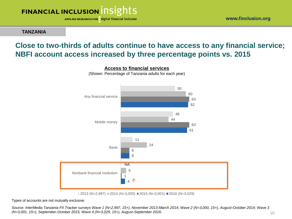

**TANZANIA**

### **Close to two-thirds of adults continue to have access to any financial service; NBFI account access increased by three percentage points vs. 2015**



 $\Box$  2013 (N=2,997)  $\Box$  2014 (N=3,000)  $\Box$  2015 (N=3,001)  $\Box$  2016 (N=3,029)

Types of accounts are not mutually exclusive.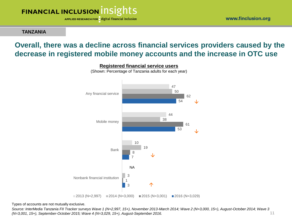APPLIED RESEARCH FOR digital financial inclusion

**TANZANIA**

### **Overall, there was a decline across financial services providers caused by the decrease in registered mobile money accounts and the increase in OTC use**



**Registered financial service users**

(Shown: Percentage of Tanzania adults for each year)

Types of accounts are not mutually exclusive.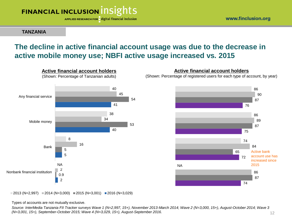

**TANZANIA**

### **The decline in active financial account usage was due to the decrease in active mobile money use; NBFI active usage increased vs. 2015**



**Active financial account holders**

(Shown: Percentage of registered users for each type of account, by year)



 $2013$  (N=2,997)  $\equiv$  2014 (N=3,000)  $\equiv$  2015 (N=3,001)  $\equiv$  2016 (N=3,029)

Types of accounts are not mutually exclusive.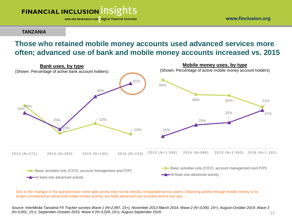APPLIED RESEARCH FOR digital financial inclusion

www.finclusion.org

#### **TANZANIA**

### **Those who retained mobile money accounts used advanced services more often; advanced use of bank and mobile money accounts increased vs. 2015**



Due to the changes in the questionnaire some data points may not be directly comparable across years. Obtaining airtime through mobile money is no longer considered an advanced mobile money activity, but bank advanced use includes airtime top-ups.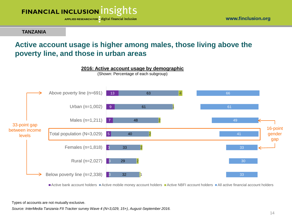

**TANZANIA**

### **Active account usage is higher among males, those living above the poverty line, and those in urban areas**



Active bank account holders Active mobile money account holders Active NBFI account holders All active financial account holders

Types of accounts are not mutually exclusive.

*Source: InterMedia Tanzania FII Tracker survey Wave 4 (N=3,029, 15+), August-September 2016.* 

www.finclusion.org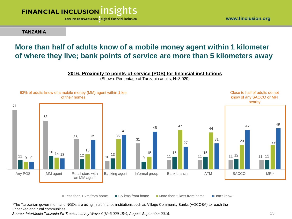

**TANZANIA**

### **More than half of adults know of a mobile money agent within 1 kilometer of where they live; bank points of service are more than 5 kilometers away**

#### **2016: Proximity to points-of-service (POS) for financial institutions**

(Shown: Percentage of Tanzania adults, N=3,029)



Less than 1 km from home  $\blacksquare$  1-5 kms from home  $\blacksquare$  More than 5 kms from home  $\blacksquare$  Don't know

*\**The Tanzanian government and NGOs are using microfinance institutions such as Village Community Banks (VOCOBA) to reach the unbanked and rural communities.

*Source: InterMedia Tanzania FII Tracker survey Wave 4 (N=3,029 15+), August-September 2016.* 15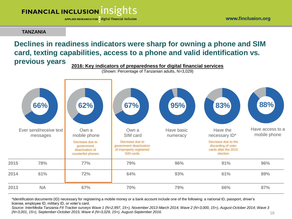APPLIED RESEARCH FOR digital financial inclusion

#### **TANZANIA**

#### **Declines in readiness indicators were sharp for owning a phone and SIM card, texting capabilities, access to a phone and valid identification vs. previous years 2016: Key indicators of preparedness for digital financial services**

(Shown: Percentage of Tanzanian adults, N=3,029)



\*Identification documents (ID) necessary for registering a mobile money or a bank account include one of the following: a national ID, passport, driver's license, employee ID, military ID, or voter's card.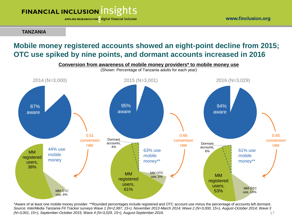APPLIED RESEARCH FOR digital financial inclusion

**TANZANIA**

### **Mobile money registered accounts showed an eight-point decline from 2015; OTC use spiked by nine points, and dormant accounts increased in 2016**



\*Aware of at least one mobile money provider. \*\*Rounded percentages include registered and OTC account use minus the percentage of accounts left dormant. *Source: InterMedia Tanzania FII Tracker surveys Wave 1 (N=2,997, 15+), November 2013-March 2014; Wave 2 (N=3,000, 15+), August-October 2014; Wave 3 (N=3,001, 15+), September-October 2015; Wave 4 (N=3,029, 15+), August-September 2016.*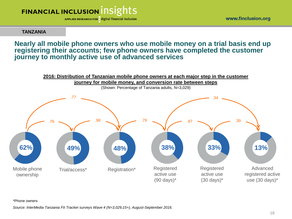

www.finclusion.org

**TANZANIA**

**Nearly all mobile phone owners who use mobile money on a trial basis end up registering their accounts; few phone owners have completed the customer journey to monthly active use of advanced services**



\*Phone owners

*Source: InterMedia Tanzania FII Tracker surveys Wave 4 (N=3,029,15+), August-September 2016.*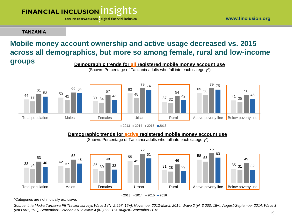APPLIED RESEARCH FOR digital financial inclusion

**TANZANIA**

#### **Mobile money account ownership and active usage decreased vs. 2015 across all demographics, but more so among female, rural and low-income groups Demographic trends for all registered mobile money account use**



 $2013 = 2014 = 2015 = 2016$ 

#### **Demographic trends for active registered mobile money account use**

(Shown: Percentage of Tanzania adults who fall into each category\*)



\*Categories are not mutually exclusive.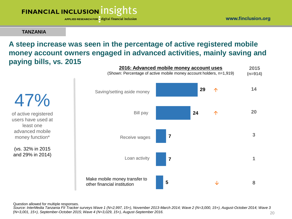APPLIED RESEARCH FOR digital financial inclusion

#### **TANZANIA**

### **A steep increase was seen in the percentage of active registered mobile money account owners engaged in advanced activities, mainly saving and paying bills, vs. 2015**



47% of active registered users have used at least one advanced mobile money function\*

(vs. 32% in 2015 and 29% in 2014)

Question allowed for multiple responses.

*. (N=3,001, 15+), September-October 2015; Wave 4 (N=3,029, 15+), August-September 2016. Source: InterMedia Tanzania FII Tracker surveys Wave 1 (N=2,997, 15+), November 2013-March 2014; Wave 2 (N=3,000, 15+), August-October 2014; Wave 3*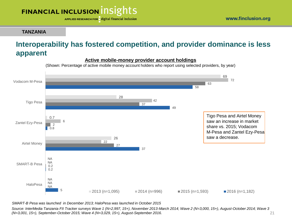#### **TANZANIA**

### **Interoperability has fostered competition, and provider dominance is less apparent**



**Active mobile-money provider account holdings** 

(Shown: Percentage of active mobile money account holders who report using selected providers, by year)

*SMART-B Pesa was launched in December 2013; HaloPesa was launched in October 2015*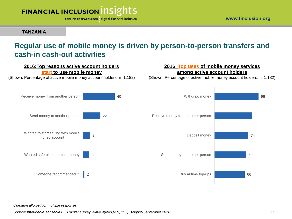

**TANZANIA**

### **Regular use of mobile money is driven by person-to-person transfers and cash-in cash-out activities**



*Question allowed for multiple response*

*Source: InterMedia Tanzania FII Tracker survey Wave 4(N=3,029, 15+), August-September 2016.*

www.finclusion.org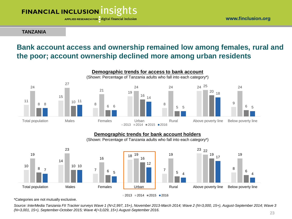APPLIED RESEARCH FOR digital financial inclusion

**TANZANIA**

### **Bank account access and ownership remained low among females, rural and the poor; account ownership declined more among urban residents**



#### **Demographic trends for bank account holders**

(Shown: Percentage of Tanzania adults who fall into each category\*)



 $2013 = 2014 = 2015 = 2016$ 

\*Categories are not mutually exclusive.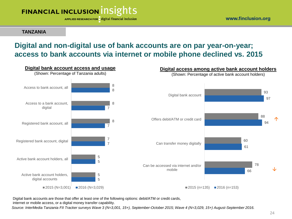

**TANZANIA**

### **Digital and non-digital use of bank accounts are on par year-on-year; access to bank accounts via internet or mobile phone declined vs. 2015**



Digital bank accounts are those that offer at least one of the following options: debit/ATM or credit cards,

internet or mobile access, or a digital money transfer capability.

*Source: InterMedia Tanzania FII Tracker surveys Wave 3 (N=3,001, 15+), September-October 2015; Wave 4 (N=3,029, 15+) August-September 2016.*

www.finclusion.org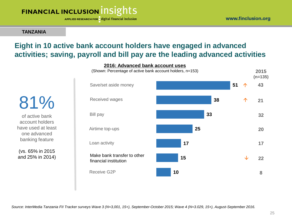

APPLIED RESEARCH FOR digital financial inclusion

#### **TANZANIA**

### **Eight in 10 active bank account holders have engaged in advanced activities; saving, payroll and bill pay are the leading advanced activities**

**2016: Advanced bank account uses**

**51 38 33 25 17 15 10** Save/set aside money Received wages Bill pay Receive G2P Airtime top-ups Make bank transfer to other financial institution Loan activity **2015 (n=135) 43 21 17 22 8 32 20** (Shown: Percentage of active bank account holders, n=153) 个  $\bigwedge$ ↓

81% of active bank

account holders have used at least one advanced banking feature

(vs. 65% in 2015 and 25% in 2014)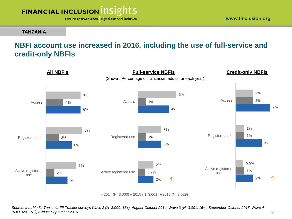



**TANZANIA**

### **NBFI account use increased in 2016, including the use of full-service and credit-only NBFIs**



*Source: InterMedia Tanzania FII Tracker surveys Wave 2 (N=3,000, 15+), August-October 2014; Wave 3 (N=3,001, 15+), September-October 2015; Wave 4 (N=3,029, 15+), August-September 2016.*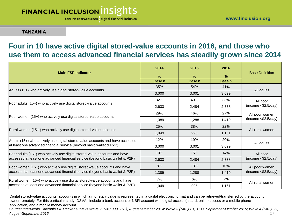APPLIED RESEARCH FOR digital financial inclusion

#### **TANZANIA**

### **Four in 10 have active digital stored-value accounts in 2016, and those who use them to access advanced financial services has steadily grown since 2014**

| <b>Main FSP Indicator</b>                                                     | 2014   | 2015   | 2016   | <b>Base Definition</b>                 |  |
|-------------------------------------------------------------------------------|--------|--------|--------|----------------------------------------|--|
|                                                                               | $\%$   | $\%$   | $\%$   |                                        |  |
|                                                                               | Base n | Base n | Base n |                                        |  |
| Adults (15+) who actively use digital stored-value accounts                   | 35%    | 54%    | 41%    | All adults                             |  |
|                                                                               | 3,000  | 3,001  | 3,029  |                                        |  |
|                                                                               | 32%    | 49%    | 33%    | All poor<br>(income < \$2.5/day)       |  |
| Poor adults (15+) who actively use digital stored-value accounts              | 2,633  | 2.484  | 2,338  |                                        |  |
|                                                                               | 29%    | 46%    | 27%    | All poor women<br>(income < \$2.5/day) |  |
| Poor women (15+) who actively use digital stored-value accounts               | 1,389  | 1,288  | 1,419  |                                        |  |
|                                                                               | 25%    | 38%    | 22%    | All rural women                        |  |
| Rural women (15+) who actively use digital stored-value accounts              | 1,049  | 995    | 1,161  |                                        |  |
| Adults (15+) who actively use digital stored-value accounts and have accessed | 12%    | 19%    | 20%    | All adults                             |  |
| at least one advanced financial service (beyond basic wallet & P2P)           | 3,000  | 3.001  | 3,029  |                                        |  |
| Poor adults (15+) who actively use digital stored-value accounts and have     | 10%    | 15%    | 14%    | All poor<br>(income < \$2.5/day)       |  |
| accessed at least one advanced financial service (beyond basic wallet & P2P)  | 2,633  | 2,484  | 2,338  |                                        |  |
| Poor women (15+) who actively use digital stored-value accounts and have      | 8%     | 13%    | 10%    | All poor women<br>(income < \$2.5/day) |  |
| accessed at least one advanced financial service (beyond basic wallet & P2P)  | 1,389  | 1,288  | 1,419  |                                        |  |
| Rural women (15+) who actively use digital stored-value accounts and have     | 7%     | 6%     | 7%     | All rural women                        |  |
| accessed at least one advanced financial service (beyond basic wallet & P2P)  | 1,049  | 995    | 1,161  |                                        |  |

Digital stored-value accounts: accounts in which a monetary value is represented in a digital electronic format and can be retrieved/transferred by the account owner remotely. For this particular study, DSVAs include a bank account or NBFI account with digital access (a card, online access or a mobile phone application) and a mobile money account.

*Source: InterMedia Tanzania FII Tracker surveys Wave 2 (N=3,000, 15+), August-October 2014; Wave 3 (N=3,001, 15+), September-October 2015; Wave 4 (N=3,029) August-September 2016.* 27